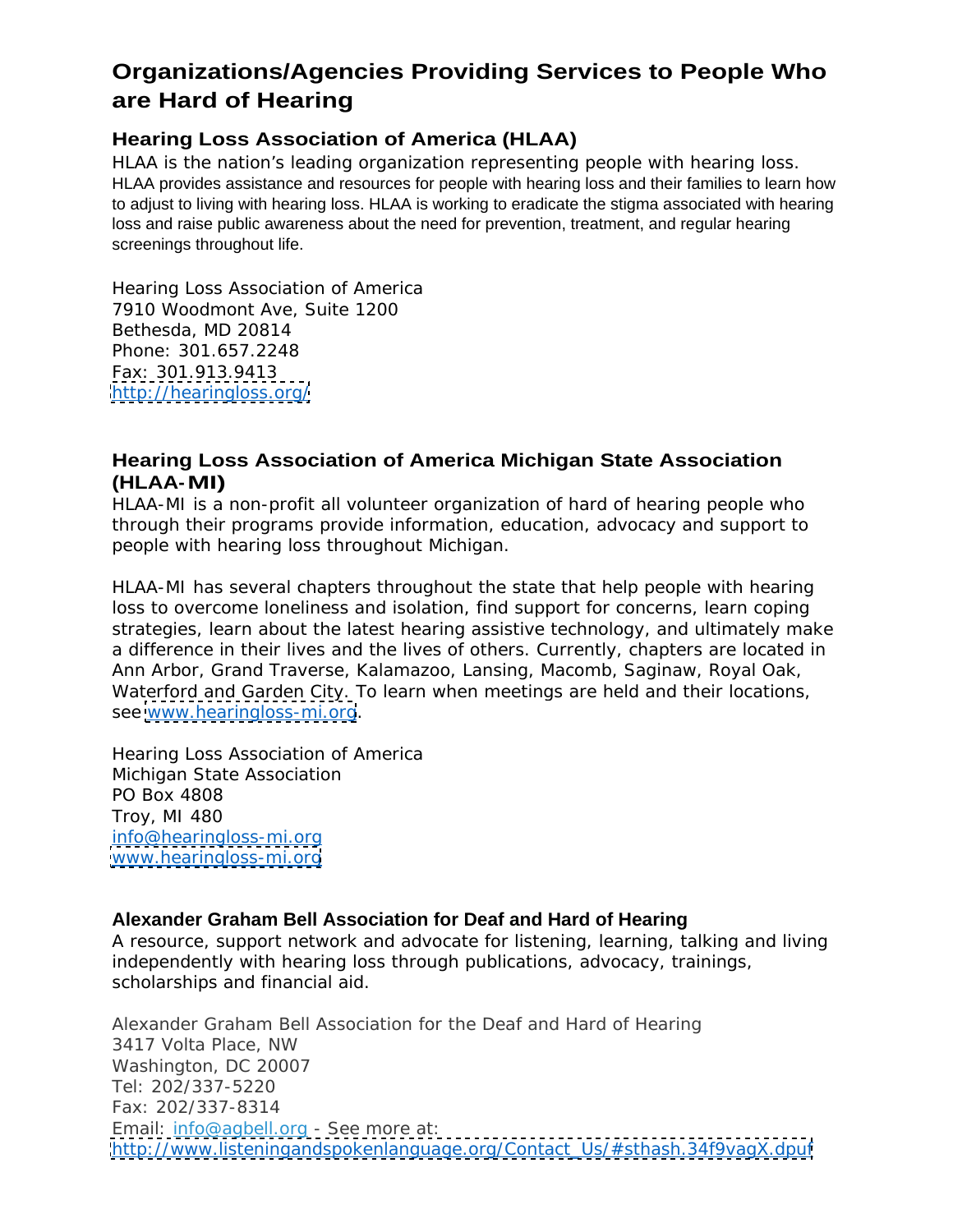# **Organizations/Agencies Providing Services to People Who are Hard of Hearing**

# **Hearing Loss Association of America (HLAA)**

HLAA is the nation's leading organization representing people with hearing loss. HLAA provides assistance and resources for people with hearing loss and their families to learn how to adjust to living with hearing loss. HLAA is working to eradicate the stigma associated with hearing loss and raise public awareness about the need for prevention, treatment, and regular hearing screenings throughout life.

Hearing Loss Association of America 7910 Woodmont Ave, Suite 1200 Bethesda, MD 20814 Phone: 301.657.2248 Fax: 301.913.9413 <http://hearingloss.org/>

# **Hearing Loss Association of America Michigan State Association (HLAA-MI)**

HLAA-MI is a non-profit all volunteer organization of hard of hearing people who through their programs provide information, education, advocacy and support to people with hearing loss throughout Michigan.

HLAA-MI has several chapters throughout the state that help people with hearing loss to overcome loneliness and isolation, find support for concerns, learn coping strategies, learn about the latest hearing assistive technology, and ultimately make a difference in their lives and the lives of others. Currently, chapters are located in Ann Arbor, Grand Traverse, Kalamazoo, Lansing, Macomb, Saginaw, Royal Oak, Waterford and Garden City. To learn when meetings are held and their locations, see [www.hearingloss-mi.org](http://www.hearingloss-mi.org).

Hearing Loss Association of America Michigan State Association PO Box 4808 Troy, MI 480 info@hearingloss-mi.org [www.hearingloss-mi.org](http://www.hearingloss-mi.org) and the contract of the contract of the contract of the contract of the contract of the contract of the contract of the contract of the contract of the contract of the contract of the contract of the

#### **Alexander Graham Bell Association for Deaf and Hard of Hearing**

A resource, support network and advocate for listening, learning, talking and living independently with hearing loss through publications, advocacy, trainings, scholarships and financial aid.

Alexander Graham Bell Association for the Deaf and Hard of Hearing 3417 Volta Place, NW Washington, DC 20007 Tel: 202/337-5220 Fax: 202/337-8314 Email: info@agbell.org - See more at: [http://www.listeningandspokenlanguage.org/Contact\\_Us/#sthash.34f9vagX.dpuf](http://www.listeningandspokenlanguage.org/Contact_Us/#sthash.34f9vagX.dpuf)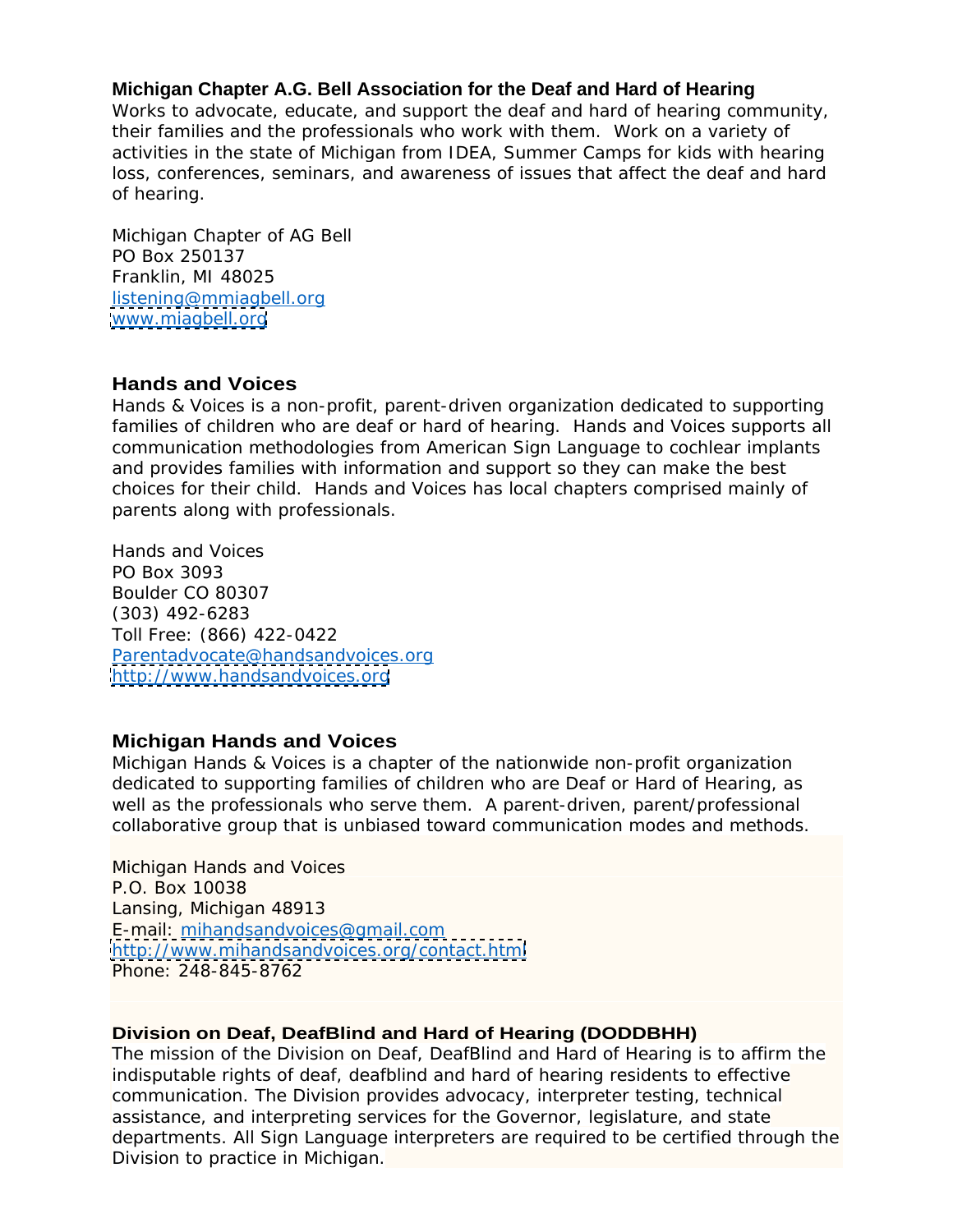### **Michigan Chapter A.G. Bell Association for the Deaf and Hard of Hearing**

Works to advocate, educate, and support the deaf and hard of hearing community, their families and the professionals who work with them. Work on a variety of activities in the state of Michigan from IDEA, Summer Camps for kids with hearing loss, conferences, seminars, and awareness of issues that affect the deaf and hard of hearing.

Michigan Chapter of AG Bell PO Box 250137 Franklin, MI 48025 listening@mmiagbell.org [www.miagbell.org](http://www.miagbell.org)

## **Hands and Voices**

Hands & Voices is a non-profit, parent-driven organization dedicated to supporting families of children who are deaf or hard of hearing. Hands and Voices supports all communication methodologies from American Sign Language to cochlear implants and provides families with information and support so they can make the best choices for their child. Hands and Voices has local chapters comprised mainly of parents along with professionals.

Hands and Voices PO Box 3093 Boulder CO 80307 (303) 492-6283 Toll Free: (866) 422-0422<br>Parentadvocate@handsandvoices.org <http://www.handsandvoices.org>

#### **Michigan Hands and Voices**

Michigan Hands & Voices is a chapter of the nationwide non-profit organization dedicated to supporting families of children who are Deaf or Hard of Hearing, as well as the professionals who serve them. A parent-driven, parent/professional collaborative group that is unbiased toward communication modes and methods.

Michigan Hands and Voices P.O. Box 10038 Lansing, Michigan 48913 E-mail: mihandsandvoices@gmail.com <http://www.mihandsandvoices.org/contact.html> Phone: 248-845-8762

#### **Division on Deaf, DeafBlind and Hard of Hearing (DODDBHH)**

The mission of the Division on Deaf, DeafBlind and Hard of Hearing is to affirm the indisputable rights of deaf, deafblind and hard of hearing residents to effective communication. The Division provides advocacy, interpreter testing, technical assistance, and interpreting services for the Governor, legislature, and state departments. All Sign Language interpreters are required to be certified through the Division to practice in Michigan.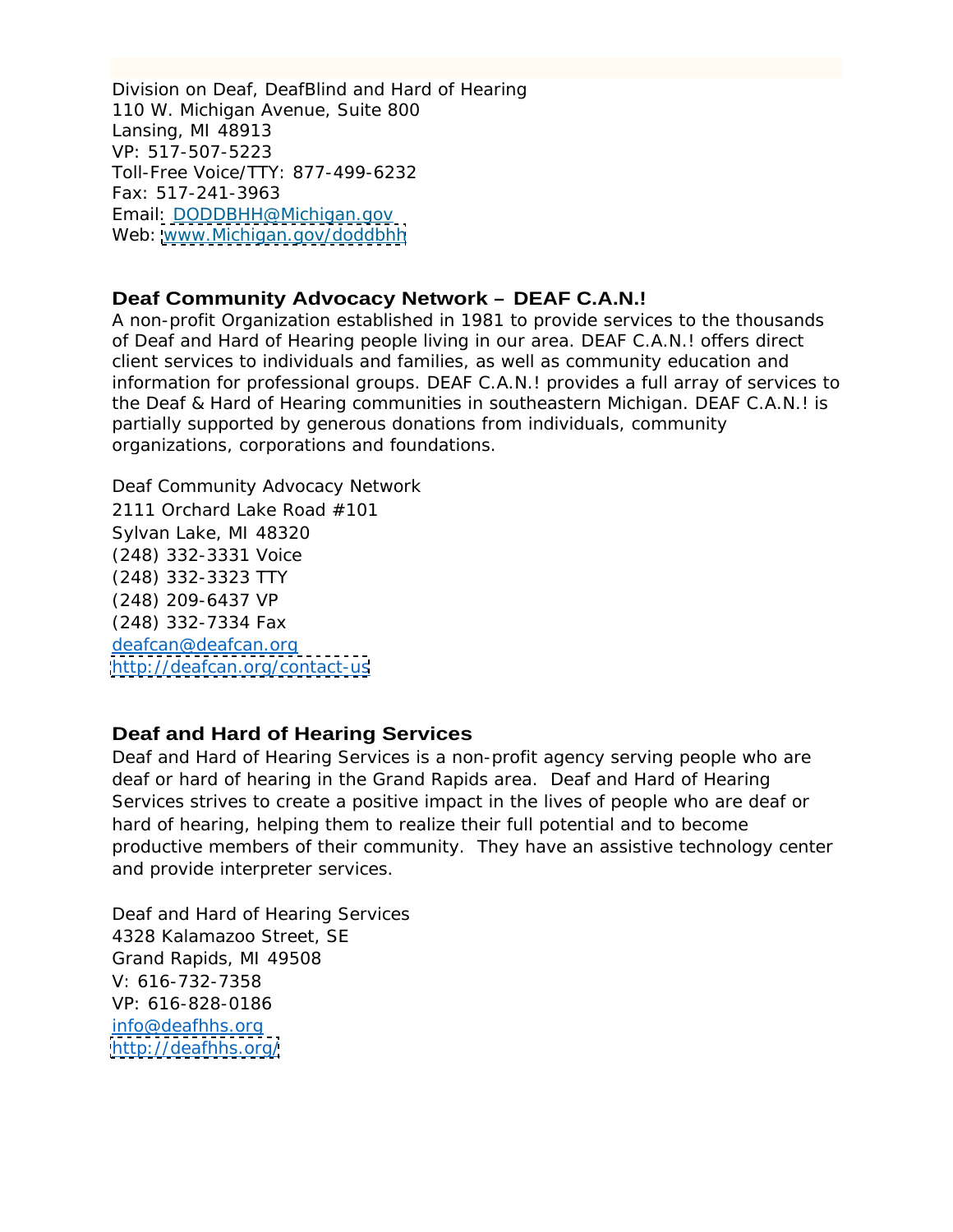Division on Deaf, DeafBlind and Hard of Hearing 110 W. Michigan Avenue, Suite 800 Lansing, MI 48913 VP: 517-507-5223 Toll-Free Voice/TTY: 877-499-6232 Fax: 517-241-3963 Email: DODDBHH@Michigan.gov Web: [www.Michigan.gov/doddbhh](http://www.Michigan.gov/doddbhh)

## **Deaf Community Advocacy Network – DEAF C.A.N.!**

A non-profit Organization established in 1981 to provide services to the thousands of Deaf and Hard of Hearing people living in our area. DEAF C.A.N.! offers direct client services to individuals and families, as well as community education and information for professional groups. DEAF C.A.N.! provides a full array of services to the Deaf & Hard of Hearing communities in southeastern Michigan. DEAF C.A.N.! is partially supported by generous donations from individuals, community organizations, corporations and foundations.

Deaf Community Advocacy Network 2111 Orchard Lake Road #101 Sylvan Lake, MI 48320 (248) 332-3331 Voice (248) 332-3323 TTY (248) 209-6437 VP (248) 332-7334 Fax deafcan@deafcan.org <http://deafcan.org/contact-us>

# **Deaf and Hard of Hearing Services**

Deaf and Hard of Hearing Services is a non-profit agency serving people who are deaf or hard of hearing in the Grand Rapids area. Deaf and Hard of Hearing Services strives to create a positive impact in the lives of people who are deaf or hard of hearing, helping them to realize their full potential and to become productive members of their community. They have an assistive technology center and provide interpreter services.

Deaf and Hard of Hearing Services 4328 Kalamazoo Street, SE Grand Rapids, MI 49508 V: 616-732-7358 VP: 616-828-0186 info@deafhhs.org <http://deafhhs.org/>